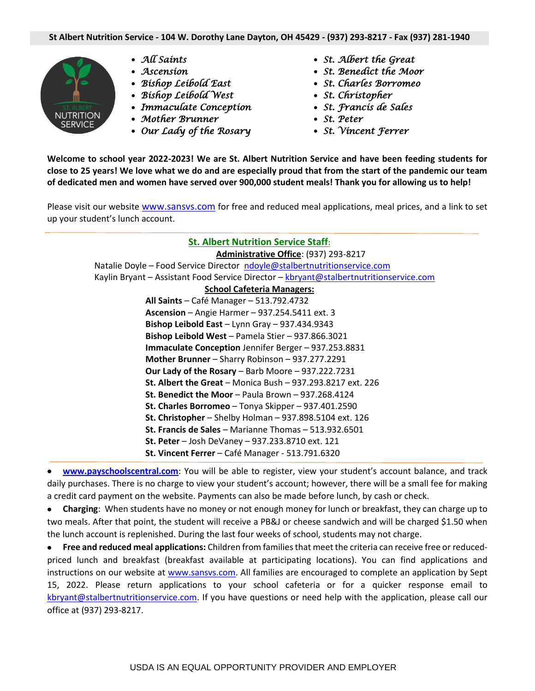

- *All Saints*
- *Ascension*
- *Bishop Leibold East*
- *Bishop Leibold West*
- *Immaculate Conception*
- *Mother Brunner*
- *Our Lady of the Rosary*
- *St. Albert the Great*
- *St. Benedict the Moor*
- *St. Charles Borromeo*
- *St. Christopher*
- *St. Francis de Sales*
- *St. Peter*
- *St. Vincent Ferrer*

**Welcome to school year 2022-2023! We are St. Albert Nutrition Service and have been feeding students for close to 25 years! We love what we do and are especially proud that from the start of the pandemic our team of dedicated men and women have served over 900,000 student meals! Thank you for allowing us to help!**

Please visit our website [www.sansvs.com](http://www.sansvs.com/) for free and reduced meal applications, meal prices, and a link to set up your student's lunch account.

## **St. Albert Nutrition Service Staff:**

**Administrative Office**: (937) 293-8217 Natalie Doyle – Food Service Director [ndoyle@stalbertnutritionservice.com](mailto:ndoyle@stalbertnutritionservice.com) Kaylin Bryant - Assistant Food Service Director - [kbryant@stalbertnutritionservice.com](mailto:kbryant@stalbertnutritionservice.com)

## **School Cafeteria Managers:**

**All Saints** – Café Manager – 513.792.4732 **Ascension** – Angie Harmer – 937.254.5411 ext. 3 **Bishop Leibold East** – Lynn Gray – 937.434.9343 **Bishop Leibold West** – Pamela Stier – 937.866.3021 **Immaculate Conception** Jennifer Berger – 937.253.8831 **Mother Brunner** – Sharry Robinson – 937.277.2291 **Our Lady of the Rosary** – Barb Moore – 937.222.7231 **St. Albert the Great** – Monica Bush – 937.293.8217 ext. 226 **St. Benedict the Moor** – Paula Brown – 937.268.4124 **St. Charles Borromeo** – Tonya Skipper – 937.401.2590 **St. Christopher** – Shelby Holman – 937.898.5104 ext. 126 **St. Francis de Sales** – Marianne Thomas – 513.932.6501 **St. Peter** – Josh DeVaney – 937.233.8710 ext. 121 **St. Vincent Ferrer** – Café Manager - 513.791.6320

• **[www.payschoolscentral.com](http://www.payschoolscentral.com/)**: You will be able to register, view your student's account balance, and track daily purchases. There is no charge to view your student's account; however, there will be a small fee for making a credit card payment on the website. Payments can also be made before lunch, by cash or check.

• **Charging**: When students have no money or not enough money for lunch or breakfast, they can charge up to two meals. After that point, the student will receive a PB&J or cheese sandwich and will be charged \$1.50 when the lunch account is replenished. During the last four weeks of school, students may not charge.

• **Free and reduced meal applications:** Children from families that meet the criteria can receive free or reducedpriced lunch and breakfast (breakfast available at participating locations). You can find applications and instructions on our website at [www.sansvs.com.](http://www.sansvs.com/) All families are encouraged to complete an application by Sept 15, 2022. Please return applications to your school cafeteria or for a quicker response email to [kbryant@stalbertnutritionservice.com.](mailto:kbryant@stalbertnutritionservice.com) If you have questions or need help with the application, please call our office at (937) 293-8217.